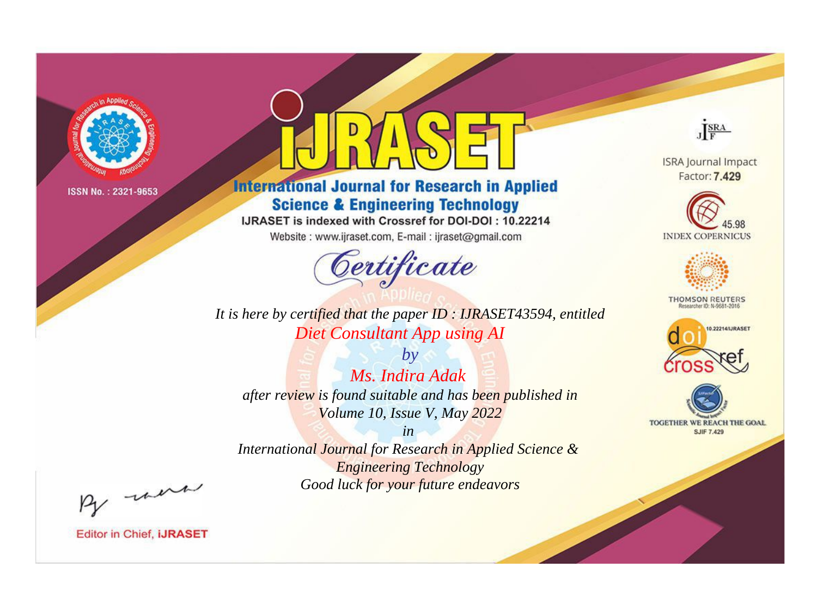

# **International Journal for Research in Applied Science & Engineering Technology**

IJRASET is indexed with Crossref for DOI-DOI: 10.22214

Website: www.ijraset.com, E-mail: ijraset@gmail.com



*It is here by certified that the paper ID : IJRASET43594, entitled Diet Consultant App using AI*

*by Ms. Indira Adak after review is found suitable and has been published in Volume 10, Issue V, May 2022*

*in International Journal for Research in Applied Science & Engineering Technology Good luck for your future endeavors*



**ISRA Journal Impact** Factor: 7.429





**THOMSON REUTERS** 





By morn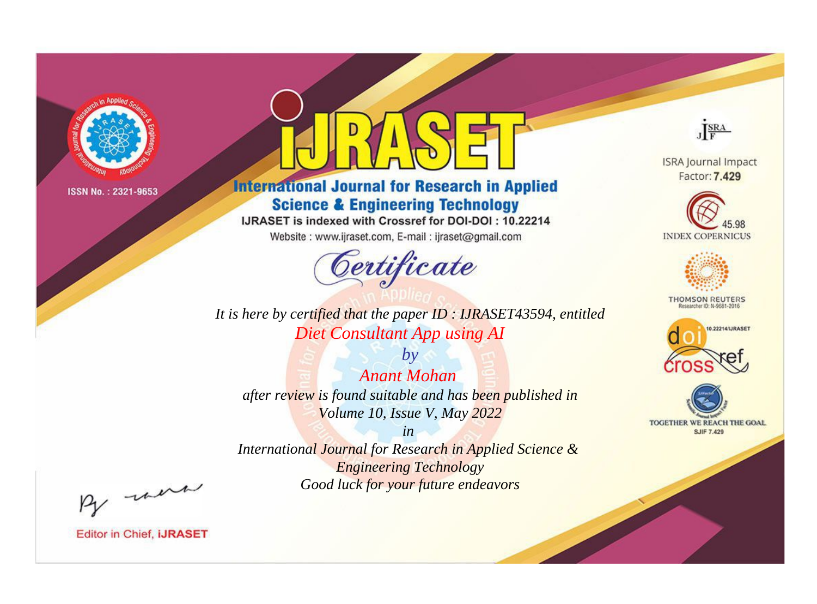

# **International Journal for Research in Applied Science & Engineering Technology**

IJRASET is indexed with Crossref for DOI-DOI: 10.22214

Website: www.ijraset.com, E-mail: ijraset@gmail.com



*It is here by certified that the paper ID : IJRASET43594, entitled Diet Consultant App using AI*

*by Anant Mohan after review is found suitable and has been published in Volume 10, Issue V, May 2022*

*in International Journal for Research in Applied Science & Engineering Technology Good luck for your future endeavors*



**ISRA Journal Impact** Factor: 7.429





**THOMSON REUTERS** 





By morn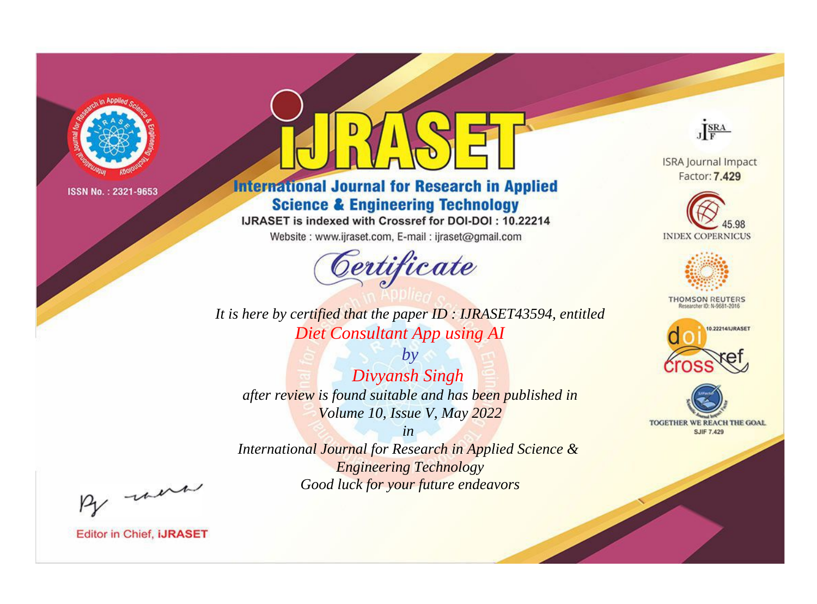

# **International Journal for Research in Applied Science & Engineering Technology**

IJRASET is indexed with Crossref for DOI-DOI: 10.22214

Website: www.ijraset.com, E-mail: ijraset@gmail.com



*It is here by certified that the paper ID : IJRASET43594, entitled Diet Consultant App using AI*

*by Divyansh Singh after review is found suitable and has been published in Volume 10, Issue V, May 2022*

*in International Journal for Research in Applied Science & Engineering Technology Good luck for your future endeavors*



**ISRA Journal Impact** Factor: 7.429





**THOMSON REUTERS** 





By morn